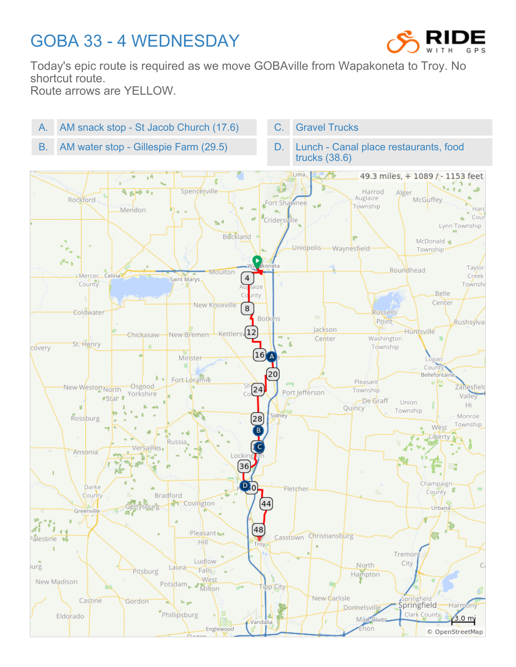## GOBA 33 - 4 WEDNESDAY



Today's epic route is required as we move GOBAville from Wapakoneta to Troy. No shortcut route.

Route arrows are YELLOW.